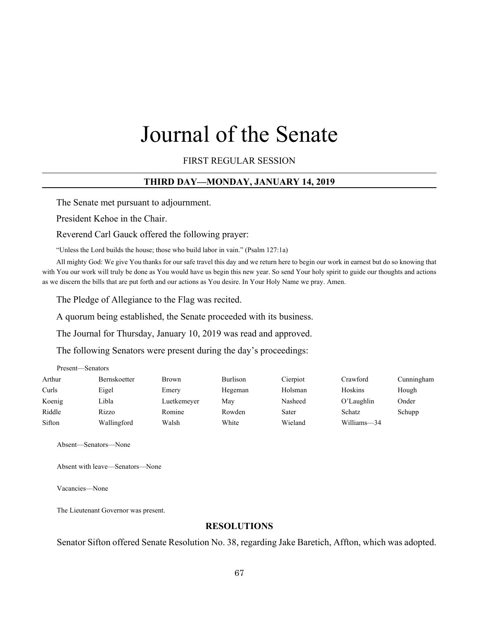# Journal of the Senate

FIRST REGULAR SESSION

# **THIRD DAY—MONDAY, JANUARY 14, 2019**

The Senate met pursuant to adjournment.

President Kehoe in the Chair.

Reverend Carl Gauck offered the following prayer:

"Unless the Lord builds the house; those who build labor in vain." (Psalm 127:1a)

All mighty God: We give You thanks for our safe travel this day and we return here to begin our work in earnest but do so knowing that with You our work will truly be done as You would have us begin this new year. So send Your holy spirit to guide our thoughts and actions as we discern the bills that are put forth and our actions as You desire. In Your Holy Name we pray. Amen.

The Pledge of Allegiance to the Flag was recited.

A quorum being established, the Senate proceeded with its business.

The Journal for Thursday, January 10, 2019 was read and approved.

The following Senators were present during the day's proceedings:

| Present—Senators |                     |              |                 |          |             |            |  |
|------------------|---------------------|--------------|-----------------|----------|-------------|------------|--|
| Arthur           | <b>Bernskoetter</b> | <b>Brown</b> | <b>Burlison</b> | Cierpiot | Crawford    | Cunningham |  |
| Curls            | Eigel               | Emery        | Hegeman         | Holsman  | Hoskins     | Hough      |  |
| Koenig           | Libla               | Luetkemeyer  | Mav             | Nasheed  | O'Laughlin  | Onder      |  |
| Riddle           | Rizzo               | Romine       | Rowden          | Sater    | Schatz      | Schupp     |  |
| Sifton           | Wallingford         | Walsh        | White           | Wieland  | Williams-34 |            |  |

Absent—Senators—None

Absent with leave—Senators—None

Vacancies—None

The Lieutenant Governor was present.

# **RESOLUTIONS**

Senator Sifton offered Senate Resolution No. 38, regarding Jake Baretich, Affton, which was adopted.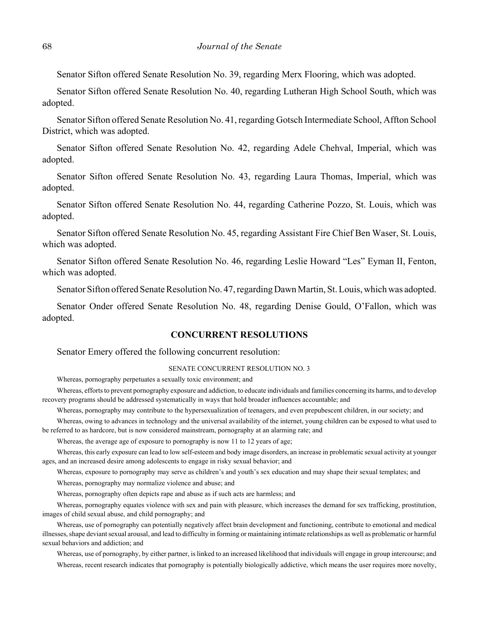Senator Sifton offered Senate Resolution No. 39, regarding Merx Flooring, which was adopted.

Senator Sifton offered Senate Resolution No. 40, regarding Lutheran High School South, which was adopted.

Senator Sifton offered Senate Resolution No. 41, regarding Gotsch Intermediate School, Affton School District, which was adopted.

Senator Sifton offered Senate Resolution No. 42, regarding Adele Chehval, Imperial, which was adopted.

Senator Sifton offered Senate Resolution No. 43, regarding Laura Thomas, Imperial, which was adopted.

Senator Sifton offered Senate Resolution No. 44, regarding Catherine Pozzo, St. Louis, which was adopted.

Senator Sifton offered Senate Resolution No. 45, regarding Assistant Fire Chief Ben Waser, St. Louis, which was adopted.

Senator Sifton offered Senate Resolution No. 46, regarding Leslie Howard "Les" Eyman II, Fenton, which was adopted.

Senator Sifton offered Senate Resolution No. 47, regarding Dawn Martin, St. Louis, which was adopted.

Senator Onder offered Senate Resolution No. 48, regarding Denise Gould, O'Fallon, which was adopted.

# **CONCURRENT RESOLUTIONS**

Senator Emery offered the following concurrent resolution:

#### SENATE CONCURRENT RESOLUTION NO. 3

Whereas, pornography perpetuates a sexually toxic environment; and

Whereas, efforts to prevent pornography exposure and addiction, to educate individuals and families concerning its harms, and to develop recovery programs should be addressed systematically in ways that hold broader influences accountable; and

Whereas, pornography may contribute to the hypersexualization of teenagers, and even prepubescent children, in our society; and

Whereas, owing to advances in technology and the universal availability of the internet, young children can be exposed to what used to be referred to as hardcore, but is now considered mainstream, pornography at an alarming rate; and

Whereas, the average age of exposure to pornography is now 11 to 12 years of age;

Whereas, this early exposure can lead to low self-esteem and body image disorders, an increase in problematic sexual activity at younger ages, and an increased desire among adolescents to engage in risky sexual behavior; and

Whereas, exposure to pornography may serve as children's and youth's sex education and may shape their sexual templates; and

Whereas, pornography may normalize violence and abuse; and

Whereas, pornography often depicts rape and abuse as if such acts are harmless; and

Whereas, pornography equates violence with sex and pain with pleasure, which increases the demand for sex trafficking, prostitution, images of child sexual abuse, and child pornography; and

Whereas, use of pornography can potentially negatively affect brain development and functioning, contribute to emotional and medical illnesses, shape deviant sexual arousal, and lead to difficulty in forming or maintaining intimate relationships as well as problematic or harmful sexual behaviors and addiction; and

Whereas, use of pornography, by either partner, is linked to an increased likelihood that individuals will engage in group intercourse; and Whereas, recent research indicates that pornography is potentially biologically addictive, which means the user requires more novelty,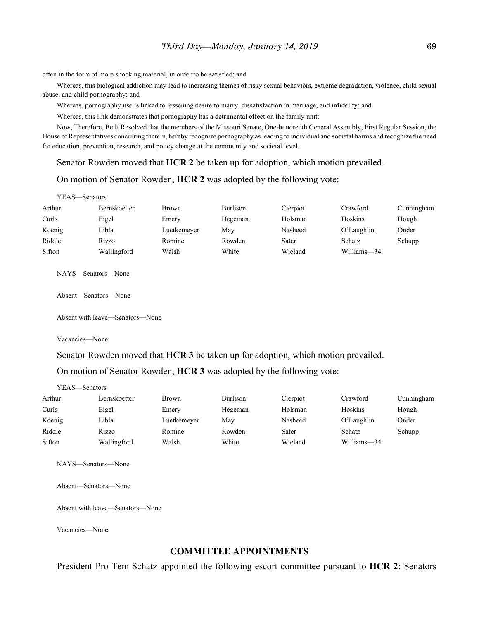often in the form of more shocking material, in order to be satisfied; and

Whereas, this biological addiction may lead to increasing themes of risky sexual behaviors, extreme degradation, violence, child sexual abuse, and child pornography; and

Whereas, pornography use is linked to lessening desire to marry, dissatisfaction in marriage, and infidelity; and

Whereas, this link demonstrates that pornography has a detrimental effect on the family unit:

Now, Therefore, Be It Resolved that the members of the Missouri Senate, One-hundredth General Assembly, First Regular Session, the House of Representatives concurring therein, hereby recognize pornography as leading to individual and societal harms and recognize the need for education, prevention, research, and policy change at the community and societal level.

Senator Rowden moved that **HCR 2** be taken up for adoption, which motion prevailed.

#### On motion of Senator Rowden, **HCR 2** was adopted by the following vote:

| YEAS—Senators |                     |              |          |          |             |            |  |
|---------------|---------------------|--------------|----------|----------|-------------|------------|--|
| Arthur        | <b>Bernskoetter</b> | <b>Brown</b> | Burlison | Cierpiot | Crawford    | Cunningham |  |
| Curls         | Eigel               | Emery        | Hegeman  | Holsman  | Hoskins     | Hough      |  |
| Koenig        | Libla               | Luetkemeyer  | May      | Nasheed  | O'Laughlin  | Onder      |  |
| Riddle        | Rizzo               | Romine       | Rowden   | Sater    | Schatz      | Schupp     |  |
| Sifton        | Wallingford         | Walsh        | White    | Wieland  | Williams-34 |            |  |

NAYS—Senators—None

Absent—Senators—None

Absent with leave—Senators—None

Vacancies—None

Senator Rowden moved that **HCR 3** be taken up for adoption, which motion prevailed. On motion of Senator Rowden, **HCR 3** was adopted by the following vote:

YEAS—Senators

| Arthur | Bernskoetter | <b>Brown</b> | Burlison | Cierpiot | Crawford    | Cunningham |
|--------|--------------|--------------|----------|----------|-------------|------------|
| Curls  | Eigel        | Emery        | Hegeman  | Holsman  | Hoskins     | Hough      |
| Koenig | Libla        | Luetkemeyer  | Mav      | Nasheed  | O'Laughlin  | Onder      |
| Riddle | Rizzo        | Romine       | Rowden   | Sater    | Schatz      | Schupp     |
| Sifton | Wallingford  | Walsh        | White    | Wieland  | Williams-34 |            |

NAYS—Senators—None

Absent—Senators—None

Absent with leave—Senators—None

Vacancies—None

# **COMMITTEE APPOINTMENTS**

President Pro Tem Schatz appointed the following escort committee pursuant to **HCR 2**: Senators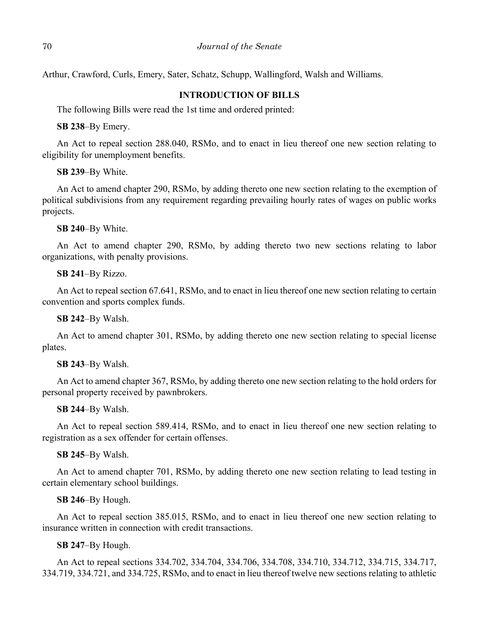Arthur, Crawford, Curls, Emery, Sater, Schatz, Schupp, Wallingford, Walsh and Williams.

# **INTRODUCTION OF BILLS**

The following Bills were read the 1st time and ordered printed:

**SB 238**–By Emery.

An Act to repeal section 288.040, RSMo, and to enact in lieu thereof one new section relating to eligibility for unemployment benefits.

**SB 239**–By White.

An Act to amend chapter 290, RSMo, by adding thereto one new section relating to the exemption of political subdivisions from any requirement regarding prevailing hourly rates of wages on public works projects.

**SB 240**–By White.

An Act to amend chapter 290, RSMo, by adding thereto two new sections relating to labor organizations, with penalty provisions.

**SB 241**–By Rizzo.

An Act to repeal section 67.641, RSMo, and to enact in lieu thereof one new section relating to certain convention and sports complex funds.

**SB 242**–By Walsh.

An Act to amend chapter 301, RSMo, by adding thereto one new section relating to special license plates.

#### **SB 243**–By Walsh.

An Act to amend chapter 367, RSMo, by adding thereto one new section relating to the hold orders for personal property received by pawnbrokers.

**SB 244**–By Walsh.

An Act to repeal section 589.414, RSMo, and to enact in lieu thereof one new section relating to registration as a sex offender for certain offenses.

#### **SB 245**–By Walsh.

An Act to amend chapter 701, RSMo, by adding thereto one new section relating to lead testing in certain elementary school buildings.

#### **SB 246**–By Hough.

An Act to repeal section 385.015, RSMo, and to enact in lieu thereof one new section relating to insurance written in connection with credit transactions.

#### **SB 247**–By Hough.

An Act to repeal sections 334.702, 334.704, 334.706, 334.708, 334.710, 334.712, 334.715, 334.717, 334.719, 334.721, and 334.725, RSMo, and to enact in lieu thereof twelve new sections relating to athletic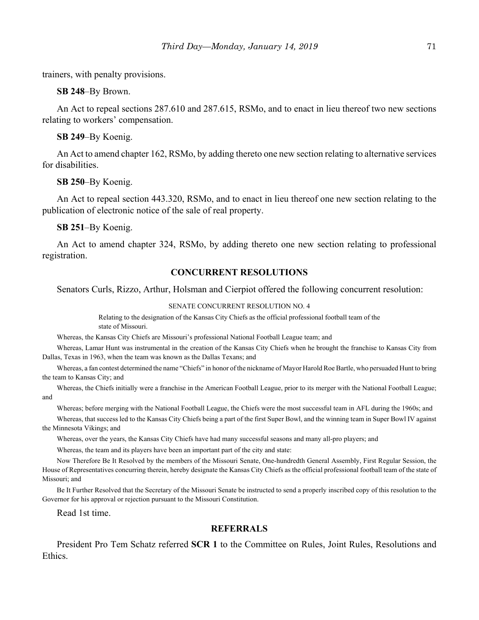trainers, with penalty provisions.

**SB 248**–By Brown.

An Act to repeal sections 287.610 and 287.615, RSMo, and to enact in lieu thereof two new sections relating to workers' compensation.

**SB 249**–By Koenig.

An Act to amend chapter 162, RSMo, by adding thereto one new section relating to alternative services for disabilities.

**SB 250**–By Koenig.

An Act to repeal section 443.320, RSMo, and to enact in lieu thereof one new section relating to the publication of electronic notice of the sale of real property.

**SB 251**–By Koenig.

An Act to amend chapter 324, RSMo, by adding thereto one new section relating to professional registration.

# **CONCURRENT RESOLUTIONS**

Senators Curls, Rizzo, Arthur, Holsman and Cierpiot offered the following concurrent resolution:

#### SENATE CONCURRENT RESOLUTION NO. 4

Relating to the designation of the Kansas City Chiefs as the official professional football team of the state of Missouri.

Whereas, the Kansas City Chiefs are Missouri's professional National Football League team; and

Whereas, Lamar Hunt was instrumental in the creation of the Kansas City Chiefs when he brought the franchise to Kansas City from Dallas, Texas in 1963, when the team was known as the Dallas Texans; and

Whereas, a fan contest determined the name "Chiefs" in honor of the nickname of Mayor Harold Roe Bartle, who persuaded Hunt to bring the team to Kansas City; and

Whereas, the Chiefs initially were a franchise in the American Football League, prior to its merger with the National Football League; and

Whereas; before merging with the National Football League, the Chiefs were the most successful team in AFL during the 1960s; and

Whereas, that success led to the Kansas City Chiefs being a part of the first Super Bowl, and the winning team in Super Bowl IV against the Minnesota Vikings; and

Whereas, over the years, the Kansas City Chiefs have had many successful seasons and many all-pro players; and

Whereas, the team and its players have been an important part of the city and state:

Now Therefore Be It Resolved by the members of the Missouri Senate, One-hundredth General Assembly, First Regular Session, the House of Representatives concurring therein, hereby designate the Kansas City Chiefs as the official professional football team of the state of Missouri; and

Be It Further Resolved that the Secretary of the Missouri Senate be instructed to send a properly inscribed copy of this resolution to the Governor for his approval or rejection pursuant to the Missouri Constitution.

Read 1st time.

### **REFERRALS**

President Pro Tem Schatz referred **SCR 1** to the Committee on Rules, Joint Rules, Resolutions and Ethics.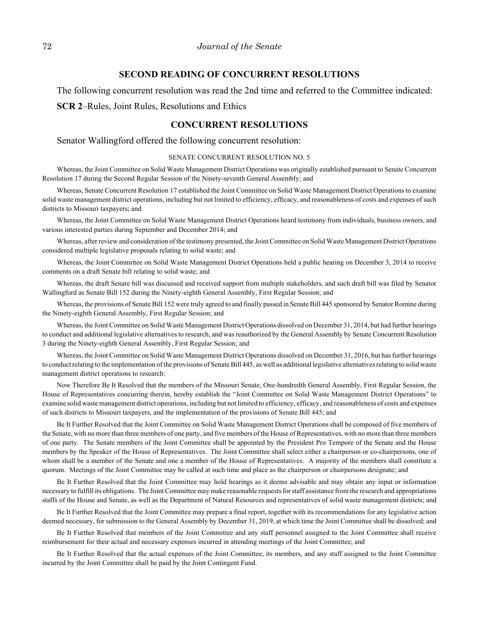#### **SECOND READING OF CONCURRENT RESOLUTIONS**

The following concurrent resolution was read the 2nd time and referred to the Committee indicated:

**SCR 2**–Rules, Joint Rules, Resolutions and Ethics

# **CONCURRENT RESOLUTIONS**

Senator Wallingford offered the following concurrent resolution:

#### SENATE CONCURRENT RESOLUTION NO. 5

Whereas, the Joint Committee on Solid Waste Management District Operations was originally established pursuant to Senate Concurrent Resolution 17 during the Second Regular Session of the Ninety-seventh General Assembly; and

Whereas, Senate Concurrent Resolution 17 established the Joint Committee on Solid Waste Management District Operations to examine solid waste management district operations, including but not limited to efficiency, efficacy, and reasonableness of costs and expenses of such districts to Missouri taxpayers; and

Whereas, the Joint Committee on Solid Waste Management District Operations heard testimony from individuals, business owners, and various interested parties during September and December 2014; and

Whereas, after review and consideration of the testimony presented, the Joint Committee on Solid Waste Management District Operations considered multiple legislative proposals relating to solid waste; and

Whereas, the Joint Committee on Solid Waste Management District Operations held a public hearing on December 3, 2014 to receive comments on a draft Senate bill relating to solid waste; and

Whereas, the draft Senate bill was discussed and received support from multiple stakeholders, and such draft bill was filed by Senator Wallingford as Senate Bill 152 during the Ninety-eighth General Assembly, First Regular Session; and

Whereas, the provisions of Senate Bill 152 were truly agreed to and finally passed in Senate Bill 445 sponsored by Senator Romine during the Ninety-eighth General Assembly, First Regular Session; and

Whereas, the Joint Committee on Solid Waste Management District Operations dissolved on December 31, 2014, but had further hearings to conduct and additional legislative alternatives to research, and was reauthorized by the General Assembly by Senate Concurrent Resolution 3 during the Ninety-eighth General Assembly, First Regular Session; and

Whereas, the Joint Committee on Solid Waste Management District Operations dissolved on December 31, 2016, but has further hearings to conduct relating to the implementation of the provisions of Senate Bill 445, as well as additional legislative alternatives relating to solid waste management district operations to research:

Now Therefore Be It Resolved that the members of the Missouri Senate, One-hundredth General Assembly, First Regular Session, the House of Representatives concurring therein, hereby establish the "Joint Committee on Solid Waste Management District Operations" to examine solid waste management district operations, including but not limited to efficiency, efficacy, and reasonableness of costs and expenses of such districts to Missouri taxpayers, and the implementation of the provisions of Senate Bill 445; and

Be It Further Resolved that the Joint Committee on Solid Waste Management District Operations shall be composed of five members of the Senate, with no more than three members of one party, and five members of the House of Representatives, with no more than three members of one party. The Senate members of the Joint Committee shall be appointed by the President Pro Tempore of the Senate and the House members by the Speaker of the House of Representatives. The Joint Committee shall select either a chairperson or co-chairpersons, one of whom shall be a member of the Senate and one a member of the House of Representatives. A majority of the members shall constitute a quorum. Meetings of the Joint Committee may be called at such time and place as the chairperson or chairpersons designate; and

Be It Further Resolved that the Joint Committee may hold hearings as it deems advisable and may obtain any input or information necessary to fulfill its obligations. The Joint Committee may make reasonable requests for staff assistance from the research and appropriations staffs of the House and Senate, as well as the Department of Natural Resources and representatives of solid waste management districts; and

Be It Further Resolved that the Joint Committee may prepare a final report, together with its recommendations for any legislative action deemed necessary, for submission to the General Assembly by December 31, 2019, at which time the Joint Committee shall be dissolved; and

Be It Further Resolved that members of the Joint Committee and any staff personnel assigned to the Joint Committee shall receive reimbursement for their actual and necessary expenses incurred in attending meetings of the Joint Committee; and

Be It Further Resolved that the actual expenses of the Joint Committee, its members, and any staff assigned to the Joint Committee incurred by the Joint Committee shall be paid by the Joint Contingent Fund.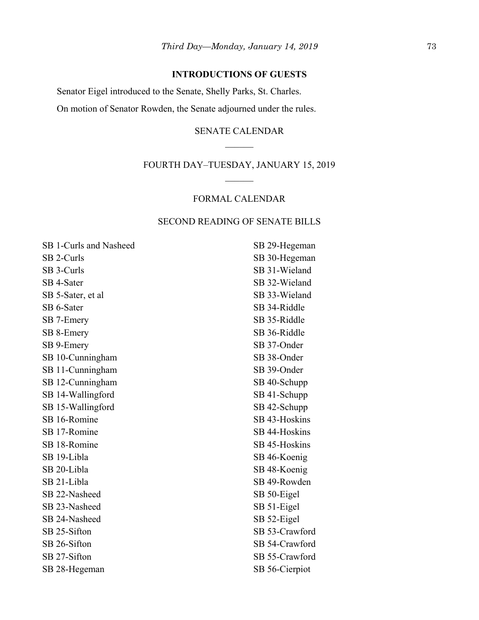# **INTRODUCTIONS OF GUESTS**

Senator Eigel introduced to the Senate, Shelly Parks, St. Charles. On motion of Senator Rowden, the Senate adjourned under the rules.

# SENATE CALENDAR

# FOURTH DAY–TUESDAY, JANUARY 15, 2019

## FORMAL CALENDAR

## SECOND READING OF SENATE BILLS

SB 1-Curls and Nasheed SB 2-Curls SB 3-Curls SB 4-Sater SB 5-Sater, et al SB 6-Sater SB 7-Emery SB 8-Emery SB 9-Emery SB 10-Cunningham SB 11-Cunningham SB 12-Cunningham SB 14-Wallingford SB 15-Wallingford SB 16-Romine SB 17-Romine SB 18-Romine SB 19-Libla SB 20-Libla SB 21-Libla SB 22-Nasheed SB 23-Nasheed SB 24-Nasheed SB 25-Sifton SB 26-Sifton SB 27-Sifton SB 28-Hegeman

SB 29-Hegeman SB 30-Hegeman SB 31-Wieland SB 32-Wieland SB 33-Wieland SB 34-Riddle SB 35-Riddle SB 36-Riddle SB 37-Onder SB 38-Onder SB 39-Onder SB 40-Schupp SB 41-Schupp SB 42-Schupp SB 43-Hoskins SB 44-Hoskins SB 45-Hoskins SB 46-Koenig SB 48-Koenig SB 49-Rowden SB 50-Eigel SB 51-Eigel SB 52-Eigel SB 53-Crawford SB 54-Crawford SB 55-Crawford SB 56-Cierpiot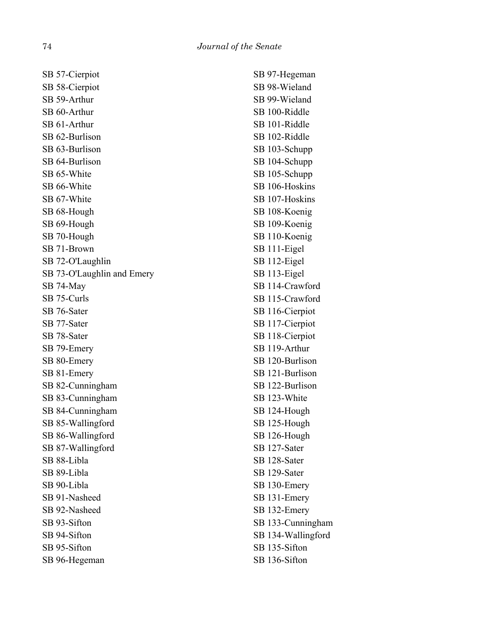SB 57-Cierpiot SB 58-Cierpiot SB 59-Arthur SB 60-Arthur SB 61-Arthur SB 62-Burlison SB 63-Burlison SB 64-Burlison SB 65-White SB 66-White SB 67-White SB 68-Hough SB 69-Hough SB 70-Hough SB 71-Brown SB 72-O'Laughlin SB 73-O'Laughlin and Emery SB 74-May SB 75-Curls SB 76-Sater SB 77-Sater SB 78-Sater SB 79-Emery SB 80-Emery SB 81-Emery SB 82-Cunningham SB 83-Cunningham SB 84-Cunningham SB 85-Wallingford SB 86-Wallingford SB 87-Wallingford SB 88-Libla SB 89-Libla SB 90-Libla SB 91-Nasheed SB 92-Nasheed SB 93-Sifton SB 94-Sifton SB 95-Sifton SB 96-Hegeman

SB 97-Hegeman SB 98-Wieland SB 99-Wieland SB 100-Riddle SB 101-Riddle SB 102-Riddle SB 103-Schupp SB 104-Schupp SB 105-Schupp SB 106-Hoskins SB 107-Hoskins SB 108-Koenig SB 109-Koenig SB 110-Koenig SB 111-Eigel SB 112-Eigel SB 113-Eigel SB 114-Crawford SB 115-Crawford SB 116-Cierpiot SB 117-Cierpiot SB 118-Cierpiot SB 119-Arthur SB 120-Burlison SB 121-Burlison SB 122-Burlison SB 123-White SB 124-Hough SB 125-Hough SB 126-Hough SB 127-Sater SB 128-Sater SB 129-Sater SB 130-Emery SB 131-Emery SB 132-Emery SB 133-Cunningham SB 134-Wallingford SB 135-Sifton SB 136-Sifton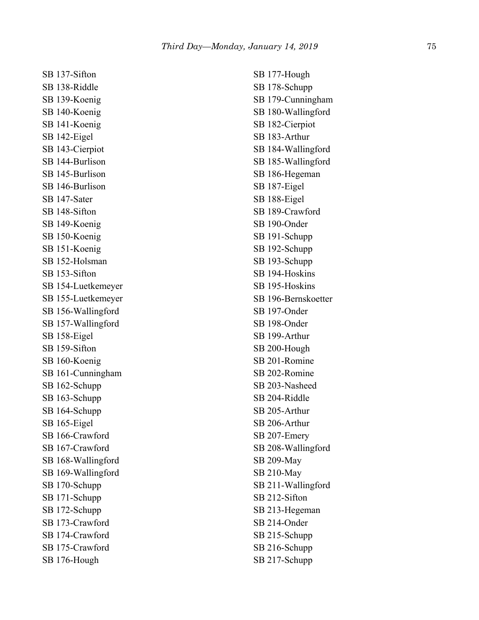SB 137-Sifton SB 138-Riddle SB 139-Koenig SB 140-Koenig SB 141-Koenig SB 142-Eigel SB 143-Cierpiot SB 144-Burlison SB 145-Burlison SB 146-Burlison SB 147-Sater SB 148-Sifton SB 149-Koenig SB 150-Koenig SB 151-Koenig SB 152-Holsman SB 153-Sifton SB 154-Luetkemeyer SB 155-Luetkemeyer SB 156-Wallingford SB 157-Wallingford SB 158-Eigel SB 159-Sifton SB 160-Koenig SB 161-Cunningham SB 162-Schupp SB 163-Schupp SB 164-Schupp SB 165-Eigel SB 166-Crawford SB 167-Crawford SB 168-Wallingford SB 169-Wallingford SB 170-Schupp SB 171-Schupp SB 172-Schupp SB 173-Crawford SB 174-Crawford SB 175-Crawford SB 176-Hough

SB 177-Hough SB 178-Schupp SB 179-Cunningham SB 180-Wallingford SB 182-Cierpiot SB 183-Arthur SB 184-Wallingford SB 185-Wallingford SB 186-Hegeman SB 187-Eigel SB 188-Eigel SB 189-Crawford SB 190-Onder SB 191-Schupp SB 192-Schupp SB 193-Schupp SB 194-Hoskins SB 195-Hoskins SB 196-Bernskoetter SB 197-Onder SB 198-Onder SB 199-Arthur SB 200-Hough SB 201-Romine SB 202-Romine SB 203-Nasheed SB 204-Riddle SB 205-Arthur SB 206-Arthur SB 207-Emery SB 208-Wallingford SB 209-May SB 210-May SB 211-Wallingford SB 212-Sifton SB 213-Hegeman SB 214-Onder SB 215-Schupp SB 216-Schupp SB 217-Schupp